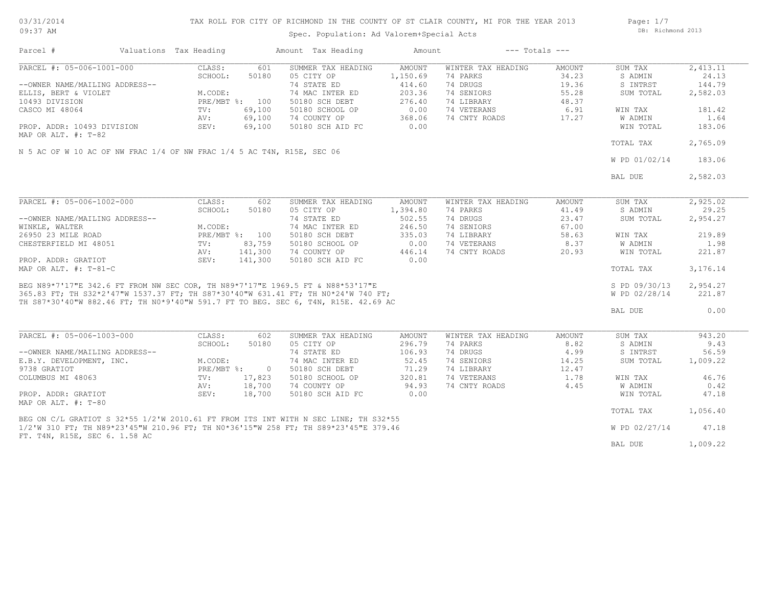| 03/31/2014 |  |
|------------|--|
| $09:37$ AM |  |

# TAX ROLL FOR CITY OF RICHMOND IN THE COUNTY OF ST CLAIR COUNTY, MI FOR THE YEAR 2013

Spec. Population: Ad Valorem+Special Acts

Page: 1/7 DB: Richmond 2013

| Parcel #                                                               | Valuations Tax Heading |                  |                | Amount Tax Heading                                                                                                                                                                                                                   | Amount        |                    | $---$ Totals $---$ |               |          |
|------------------------------------------------------------------------|------------------------|------------------|----------------|--------------------------------------------------------------------------------------------------------------------------------------------------------------------------------------------------------------------------------------|---------------|--------------------|--------------------|---------------|----------|
| PARCEL #: 05-006-1001-000                                              |                        | CLASS:           | 601            | SUMMER TAX HEADING                                                                                                                                                                                                                   | AMOUNT        | WINTER TAX HEADING | AMOUNT             | SUM TAX       | 2,413.11 |
|                                                                        |                        | SCHOOL:          | 50180          | 05 CITY OP                                                                                                                                                                                                                           | 1,150.69      | 74 PARKS           | 34.23              | S ADMIN       | 24.13    |
| --OWNER NAME/MAILING ADDRESS--                                         |                        |                  |                | 74 STATE ED                                                                                                                                                                                                                          | 414.60        | 74 DRUGS           | 19.36              | S INTRST      | 144.79   |
|                                                                        |                        | M.CODE:          |                | 74 MAC INTER ED                                                                                                                                                                                                                      | 203.36        | 74 SENIORS         | 55.28              | SUM TOTAL     |          |
| ELLIS, BERT & VIOLET                                                   |                        |                  |                |                                                                                                                                                                                                                                      |               |                    |                    |               | 2,582.03 |
| 10493 DIVISION                                                         |                        |                  | PRE/MBT %: 100 | 50180 SCH DEBT                                                                                                                                                                                                                       | 276.40        | 74 LIBRARY         | 48.37              |               |          |
| CASCO MI 48064                                                         |                        | TV:              | 69,100         | 50180 SCHOOL OP                                                                                                                                                                                                                      | 0.00          | 74 VETERANS        | 6.91               | WIN TAX       | 181.42   |
|                                                                        |                        | AV:              | 69,100         | 74 COUNTY OP                                                                                                                                                                                                                         | 368.06        | 74 CNTY ROADS      | 17.27              | W ADMIN       | 1.64     |
| PROP. ADDR: 10493 DIVISION                                             |                        | SEV:             | 69,100         | 50180 SCH AID FC                                                                                                                                                                                                                     | 0.00          |                    |                    | WIN TOTAL     | 183.06   |
| MAP OR ALT. #: T-82                                                    |                        |                  |                |                                                                                                                                                                                                                                      |               |                    |                    |               |          |
|                                                                        |                        |                  |                |                                                                                                                                                                                                                                      |               |                    |                    | TOTAL TAX     | 2,765.09 |
| N 5 AC OF W 10 AC OF NW FRAC 1/4 OF NW FRAC 1/4 5 AC T4N, R15E, SEC 06 |                        |                  |                |                                                                                                                                                                                                                                      |               |                    |                    |               |          |
|                                                                        |                        |                  |                |                                                                                                                                                                                                                                      |               |                    |                    | W PD 01/02/14 | 183.06   |
|                                                                        |                        |                  |                |                                                                                                                                                                                                                                      |               |                    |                    |               |          |
|                                                                        |                        |                  |                |                                                                                                                                                                                                                                      |               |                    |                    | BAL DUE       | 2,582.03 |
|                                                                        |                        |                  |                |                                                                                                                                                                                                                                      |               |                    |                    |               |          |
| PARCEL #: 05-006-1002-000                                              |                        | CLASS:           | 602            | SUMMER TAX HEADING                                                                                                                                                                                                                   | <b>AMOUNT</b> | WINTER TAX HEADING | <b>AMOUNT</b>      | SUM TAX       | 2,925.02 |
|                                                                        |                        | SCHOOL:          | 50180          | 05 CITY OP                                                                                                                                                                                                                           | 1,394.80      | 74 PARKS           | 41.49              | S ADMIN       | 29.25    |
| --OWNER NAME/MAILING ADDRESS--                                         |                        |                  |                | 74 STATE ED                                                                                                                                                                                                                          | 502.55        | 74 DRUGS           | 23.47              | SUM TOTAL     | 2,954.27 |
|                                                                        |                        |                  |                | 74 MAC INTER ED                                                                                                                                                                                                                      | 246.50        | 74 SENIORS         | 67.00              |               |          |
| WINKLE, WALTER                                                         |                        | M.CODE:          |                |                                                                                                                                                                                                                                      |               |                    |                    |               |          |
| 26950 23 MILE ROAD                                                     |                        |                  | PRE/MBT %: 100 | 50180 SCH DEBT                                                                                                                                                                                                                       | 335.03        | 74 LIBRARY         | 58.63              | WIN TAX       | 219.89   |
| CHESTERFIELD MI 48051                                                  |                        | $\text{TV}$ :    | 83,759         | 50180 SCHOOL OP                                                                                                                                                                                                                      | 0.00          | 74 VETERANS        | 8.37               | W ADMIN       | 1.98     |
|                                                                        |                        | AV:              | 141,300        | 74 COUNTY OP                                                                                                                                                                                                                         | 446.14        | 74 CNTY ROADS      | 20.93              | WIN TOTAL     | 221.87   |
| PROP. ADDR: GRATIOT                                                    |                        | SEV:             | 141,300        | 50180 SCH AID FC                                                                                                                                                                                                                     | 0.00          |                    |                    |               |          |
| MAP OR ALT. #: T-81-C                                                  |                        |                  |                |                                                                                                                                                                                                                                      |               |                    |                    | TOTAL TAX     | 3,176.14 |
|                                                                        |                        |                  |                | BEG N89*7'17"E 342.6 FT FROM NW SEC COR, TH N89*7'17"E 1969.5 FT & N88*53'17"E<br>365.83 FT; TH S32*2'47"W 1537.37 FT; TH S87*30'40"W 631.41 FT; TH N0*24'W 740 FT;<br>365.83 FT; TH S32*2'47"W 1537.37 FT; TH S87*30'40"W 631.41 FT |               |                    |                    |               |          |
|                                                                        |                        |                  |                |                                                                                                                                                                                                                                      |               |                    |                    | S PD 09/30/13 | 2,954.27 |
|                                                                        |                        |                  |                |                                                                                                                                                                                                                                      |               |                    |                    | W PD 02/28/14 | 221.87   |
|                                                                        |                        |                  |                |                                                                                                                                                                                                                                      |               |                    |                    |               |          |
|                                                                        |                        |                  |                |                                                                                                                                                                                                                                      |               |                    |                    | BAL DUE       | 0.00     |
|                                                                        |                        |                  |                |                                                                                                                                                                                                                                      |               |                    |                    |               |          |
| PARCEL #: 05-006-1003-000                                              |                        | CLASS:           | 602            | SUMMER TAX HEADING                                                                                                                                                                                                                   | AMOUNT        | WINTER TAX HEADING | AMOUNT             | SUM TAX       | 943.20   |
|                                                                        |                        | SCHOOL:          | 50180          | 05 CITY OP                                                                                                                                                                                                                           | 296.79        | 74 PARKS           | 8.82               | S ADMIN       | 9.43     |
| --OWNER NAME/MAILING ADDRESS--                                         |                        |                  |                | 74 STATE ED                                                                                                                                                                                                                          | 106.93        | 74 DRUGS           | 4.99               | S INTRST      | 56.59    |
| E.B.Y. DEVELOPMENT, INC.                                               |                        | M.CODE:          |                | 74 MAC INTER ED                                                                                                                                                                                                                      | 52.45         | 74 SENIORS         | 14.25              | SUM TOTAL     | 1,009.22 |
| 9738 GRATIOT                                                           |                        | $PRE/MBT$ $\div$ | $\overline{0}$ | 50180 SCH DEBT                                                                                                                                                                                                                       | 71.29         | 74 LIBRARY         | 12.47              |               |          |
| COLUMBUS MI 48063                                                      |                        | TV:              | 17,823         | 50180 SCHOOL OP                                                                                                                                                                                                                      | 320.81        | 74 VETERANS        | 1.78               | WIN TAX       | 46.76    |
|                                                                        |                        | AV:              | 18,700         | 74 COUNTY OP                                                                                                                                                                                                                         | 94.93         | 74 CNTY ROADS      | 4.45               | W ADMIN       | 0.42     |
|                                                                        |                        | SEV:             | 18,700         |                                                                                                                                                                                                                                      | 0.00          |                    |                    |               | 47.18    |
| PROP. ADDR: GRATIOT                                                    |                        |                  |                | 50180 SCH AID FC                                                                                                                                                                                                                     |               |                    |                    | WIN TOTAL     |          |
| MAP OR ALT. #: T-80                                                    |                        |                  |                |                                                                                                                                                                                                                                      |               |                    |                    |               | 1,056.40 |
|                                                                        |                        |                  |                | BEG ON C/L GRATIOT S 32*55 1/2'W 2010.61 FT FROM ITS INT WITH N SEC LINE; TH S32*55                                                                                                                                                  |               |                    |                    | TOTAL TAX     |          |
|                                                                        |                        |                  |                | 1/2'W 310 FT; TH N89*23'45"W 210.96 FT; TH N0*36'15"W 258 FT; TH S89*23'45"E 379.46                                                                                                                                                  |               |                    |                    | W PD 02/27/14 | 47.18    |
| FT. T4N, R15E, SEC 6. 1.58 AC                                          |                        |                  |                |                                                                                                                                                                                                                                      |               |                    |                    |               |          |
|                                                                        |                        |                  |                |                                                                                                                                                                                                                                      |               |                    |                    | BAL DUE       | 1,009.22 |
|                                                                        |                        |                  |                |                                                                                                                                                                                                                                      |               |                    |                    |               |          |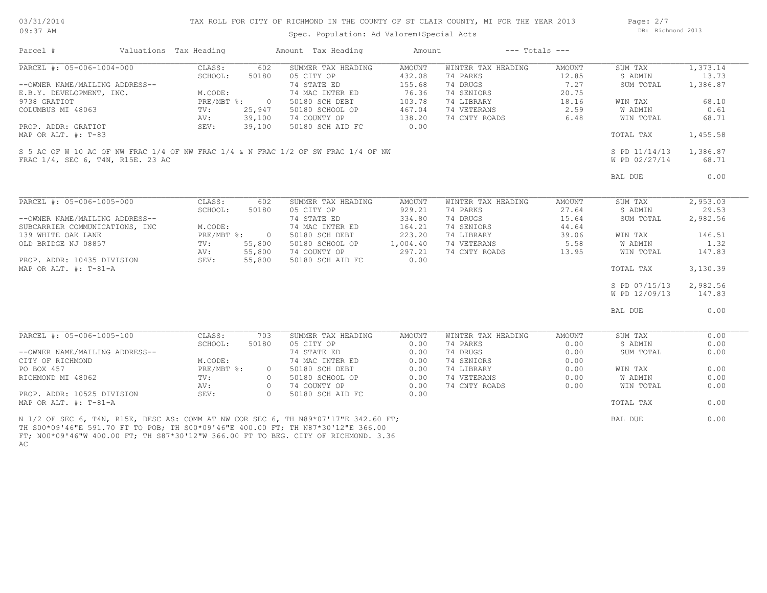| 03/31/201  |  |
|------------|--|
| $09:37$ AM |  |

#### TAX ROLL FOR CITY OF RICHMOND IN THE COUNTY OF ST CLAIR COUNTY, MI FOR THE YEAR 2013

Spec. Population: Ad Valorem+Special Acts

Page: 2/7 DB: Richmond 2013

| Parcel #                          | Valuations Tax Heading |              |                | Amount Tax Heading                                                                                                                                                      | Amount        |                    | $---$ Totals $---$ |               |          |
|-----------------------------------|------------------------|--------------|----------------|-------------------------------------------------------------------------------------------------------------------------------------------------------------------------|---------------|--------------------|--------------------|---------------|----------|
| PARCEL #: 05-006-1004-000         |                        | CLASS:       | 602            | SUMMER TAX HEADING                                                                                                                                                      | <b>AMOUNT</b> | WINTER TAX HEADING | AMOUNT             | SUM TAX       | 1,373.14 |
|                                   |                        | SCHOOL:      | 50180          | 05 CITY OP                                                                                                                                                              | 432.08        | 74 PARKS           | 12.85              | S ADMIN       | 13.73    |
| --OWNER NAME/MAILING ADDRESS--    |                        |              |                | 74 STATE ED                                                                                                                                                             | 155.68        | 74 DRUGS           | 7.27               | SUM TOTAL     | 1,386.87 |
| E.B.Y. DEVELOPMENT, INC.          |                        | M.CODE:      |                | 74 MAC INTER ED                                                                                                                                                         | 76.36         | 74 SENIORS         | 20.75              |               |          |
| 9738 GRATIOT                      |                        | PRE/MBT %:   | $\overline{0}$ | 50180 SCH DEBT                                                                                                                                                          | 103.78        | 74 LIBRARY         | 18.16              | WIN TAX       | 68.10    |
| COLUMBUS MI 48063                 |                        | TV:          | 25,947         | 50180 SCHOOL OP                                                                                                                                                         | 467.04        | 74 VETERANS        | 2.59               | W ADMIN       | 0.61     |
|                                   |                        | AV:          | 39,100         | 74 COUNTY OP                                                                                                                                                            | 138.20        | 74 CNTY ROADS      | 6.48               | WIN TOTAL     | 68.71    |
| PROP. ADDR: GRATIOT               |                        | SEV:         | 39,100         | 50180 SCH AID FC                                                                                                                                                        | 0.00          |                    |                    |               |          |
| MAP OR ALT. #: T-83               |                        |              |                |                                                                                                                                                                         |               |                    |                    | TOTAL TAX     | 1,455.58 |
|                                   |                        |              |                |                                                                                                                                                                         |               |                    |                    |               |          |
|                                   |                        |              |                | S 5 AC OF W 10 AC OF NW FRAC 1/4 OF NW FRAC 1/4 & N FRAC 1/2 OF SW FRAC 1/4 OF NW                                                                                       |               |                    |                    | S PD 11/14/13 | 1,386.87 |
| FRAC 1/4, SEC 6, T4N, R15E. 23 AC |                        |              |                |                                                                                                                                                                         |               |                    |                    | W PD 02/27/14 | 68.71    |
|                                   |                        |              |                |                                                                                                                                                                         |               |                    |                    |               |          |
|                                   |                        |              |                |                                                                                                                                                                         |               |                    |                    | BAL DUE       | 0.00     |
|                                   |                        |              |                |                                                                                                                                                                         |               |                    |                    |               |          |
| PARCEL #: 05-006-1005-000         |                        | CLASS:       | 602            | SUMMER TAX HEADING                                                                                                                                                      | <b>AMOUNT</b> | WINTER TAX HEADING | AMOUNT             | SUM TAX       | 2,953.03 |
|                                   |                        | SCHOOL:      | 50180          | 05 CITY OP                                                                                                                                                              | 929.21        | 74 PARKS           | 27.64              | S ADMIN       | 29.53    |
| --OWNER NAME/MAILING ADDRESS--    |                        |              |                | 74 STATE ED                                                                                                                                                             | 334.80        | 74 DRUGS           | 15.64              | SUM TOTAL     | 2,982.56 |
| SUBCARRIER COMMUNICATIONS, INC    |                        | M.CODE:      |                | 74 MAC INTER ED                                                                                                                                                         | 164.21        | 74 SENIORS         | 44.64              |               |          |
| 139 WHITE OAK LANE                |                        | $PRE/MBT$ %: | $\overline{0}$ | 50180 SCH DEBT                                                                                                                                                          | 223.20        | 74 LIBRARY         | 39.06              | WIN TAX       | 146.51   |
| OLD BRIDGE NJ 08857               |                        | TV:          | 55,800         | 50180 SCHOOL OP                                                                                                                                                         | 1,004.40      | 74 VETERANS        | 5.58               | W ADMIN       | 1.32     |
|                                   |                        |              | 55,800         | 74 COUNTY OP                                                                                                                                                            | 297.21        | 74 CNTY ROADS      | 13.95              | WIN TOTAL     | 147.83   |
|                                   |                        | AV:          |                |                                                                                                                                                                         |               |                    |                    |               |          |
| PROP. ADDR: 10435 DIVISION        |                        | SEV:         | 55,800         | 50180 SCH AID FC                                                                                                                                                        | 0.00          |                    |                    |               |          |
| MAP OR ALT. #: T-81-A             |                        |              |                |                                                                                                                                                                         |               |                    |                    | TOTAL TAX     | 3,130.39 |
|                                   |                        |              |                |                                                                                                                                                                         |               |                    |                    | S PD 07/15/13 | 2,982.56 |
|                                   |                        |              |                |                                                                                                                                                                         |               |                    |                    | W PD 12/09/13 | 147.83   |
|                                   |                        |              |                |                                                                                                                                                                         |               |                    |                    |               |          |
|                                   |                        |              |                |                                                                                                                                                                         |               |                    |                    | BAL DUE       | 0.00     |
|                                   |                        |              |                |                                                                                                                                                                         |               |                    |                    |               |          |
| PARCEL #: 05-006-1005-100         |                        | CLASS:       | 703            | SUMMER TAX HEADING                                                                                                                                                      | <b>AMOUNT</b> | WINTER TAX HEADING | <b>AMOUNT</b>      | SUM TAX       | 0.00     |
|                                   |                        | SCHOOL:      | 50180          | 05 CITY OP                                                                                                                                                              | 0.00          | 74 PARKS           | 0.00               | S ADMIN       | 0.00     |
| --OWNER NAME/MAILING ADDRESS--    |                        |              |                | 74 STATE ED                                                                                                                                                             | 0.00          | 74 DRUGS           | 0.00               | SUM TOTAL     | 0.00     |
| CITY OF RICHMOND                  |                        | M.CODE:      |                | 74 MAC INTER ED                                                                                                                                                         | 0.00          | 74 SENIORS         | 0.00               |               |          |
| PO BOX 457                        |                        | PRE/MBT %:   | $\circ$        | 50180 SCH DEBT                                                                                                                                                          | 0.00          | 74 LIBRARY         | 0.00               | WIN TAX       | 0.00     |
| RICHMOND MI 48062                 |                        | TV:          | $\circ$        | 50180 SCHOOL OP                                                                                                                                                         | 0.00          | 74 VETERANS        | 0.00               | W ADMIN       | 0.00     |
|                                   |                        | AV:          | $\circ$        | 74 COUNTY OP                                                                                                                                                            | 0.00          | 74 CNTY ROADS      | 0.00               | WIN TOTAL     | 0.00     |
| PROP. ADDR: 10525 DIVISION        |                        | SEV:         | $\Omega$       | 50180 SCH AID FC                                                                                                                                                        | 0.00          |                    |                    |               |          |
| MAP OR ALT. #: T-81-A             |                        |              |                |                                                                                                                                                                         |               |                    |                    | TOTAL TAX     | 0.00     |
|                                   |                        |              |                | N 1/2 OF SEC 6, T4N, R15E, DESC AS: COMM AT NW COR SEC 6, TH N89*07'17"E 342.60 FT;<br>ጦU CAA*AQ!/KUP 5Q1 7A P™ ™A DAD∙ ™U CAA*AQ!/KUP /AA AA P™∙ ™U N97*3A!19UP 3KK AA |               |                    |                    | BAL DUE       | 0.00     |

AC FT; N00\*09'46"W 400.00 FT; TH S87\*30'12"W 366.00 FT TO BEG. CITY OF RICHMOND. 3.36 TH S00\*09'46"E 591.70 FT TO POB; TH S00\*09'46"E 400.00 FT; TH N87\*30'12"E 366.00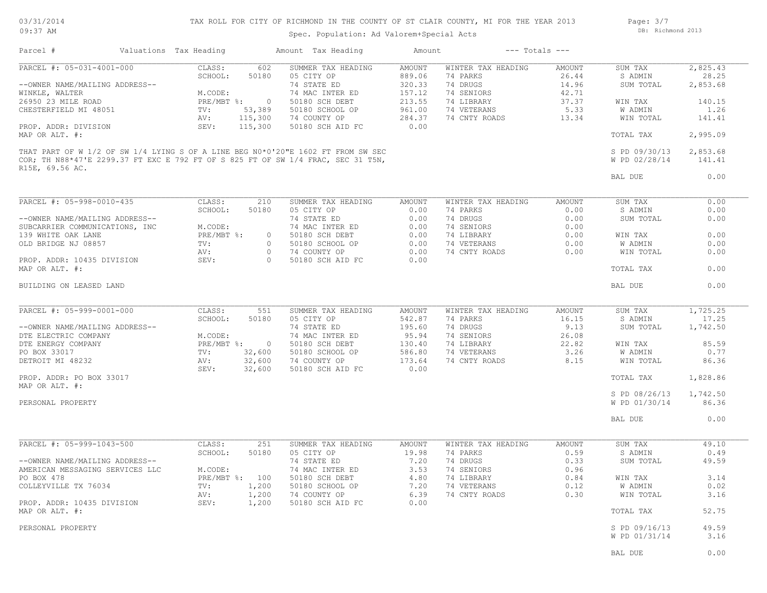03/31/2014 09:37 AM

TAX ROLL FOR CITY OF RICHMOND IN THE COUNTY OF ST CLAIR COUNTY, MI FOR THE YEAR 2013

Spec. Population: Ad Valorem+Special Acts

Page: 3/7 DB: Richmond 2013

| Parcel #                                         | Valuations Tax Heading          | Amount Tax Heading                                                               | Amount                     | $---$ Totals $---$             |                         |                      |                   |
|--------------------------------------------------|---------------------------------|----------------------------------------------------------------------------------|----------------------------|--------------------------------|-------------------------|----------------------|-------------------|
| PARCEL #: 05-031-4001-000                        | CLASS:                          | 602<br>SUMMER TAX HEADING<br>05 CITY OP                                          | AMOUNT                     | WINTER TAX HEADING<br>74 PARKS | AMOUNT                  | SUM TAX              | 2,825.43          |
| --OWNER NAME/MAILING ADDRESS--<br>WINKLE, WALTER | SCHOOL:<br>50180<br>M.CODE:     | 74 STATE ED<br>74 MAC INTER ED                                                   | 889.06<br>320.33<br>157.12 | 74 DRUGS<br>74 SENIORS         | 26.44<br>14.96<br>42.71 | S ADMIN<br>SUM TOTAL | 28.25<br>2,853.68 |
| 26950 23 MILE ROAD                               | $PRE/MBT$ %:                    | $\circ$<br>50180 SCH DEBT                                                        | 213.55                     | 74 LIBRARY                     | 37.37                   | WIN TAX              | 140.15            |
| CHESTERFIELD MI 48051                            | 53,389<br>TV:                   | 50180 SCHOOL OP                                                                  | 961.00                     | 74 VETERANS                    | 5.33                    | W ADMIN              | 1.26              |
|                                                  | 115,300<br>AV:                  | 74 COUNTY OP                                                                     | 284.37                     | 74 CNTY ROADS                  | 13.34                   | WIN TOTAL            | 141.41            |
| PROP. ADDR: DIVISION<br>MAP OR ALT. #:           | SEV:<br>115,300                 | 50180 SCH AID FC                                                                 | 0.00                       |                                |                         | TOTAL TAX            | 2,995.09          |
|                                                  |                                 | THAT PART OF W 1/2 OF SW 1/4 LYING S OF A LINE BEG N0*0'20"E 1602 FT FROM SW SEC |                            |                                |                         | S PD 09/30/13        | 2,853.68          |
| R15E, 69.56 AC.                                  |                                 | COR; TH N88*47'E 2299.37 FT EXC E 792 FT OF S 825 FT OF SW 1/4 FRAC, SEC 31 T5N, |                            |                                |                         | W PD 02/28/14        | 141.41            |
|                                                  |                                 |                                                                                  |                            |                                |                         | BAL DUE              | 0.00              |
| PARCEL #: 05-998-0010-435                        | CLASS:                          | SUMMER TAX HEADING<br>210                                                        | AMOUNT                     | WINTER TAX HEADING             | AMOUNT                  | SUM TAX              | 0.00              |
|                                                  | SCHOOL:<br>50180                | 05 CITY OP                                                                       | 0.00                       | 74 PARKS                       | 0.00                    | S ADMIN              | 0.00              |
| --OWNER NAME/MAILING ADDRESS--                   |                                 | 74 STATE ED                                                                      | 0.00                       | 74 DRUGS                       | 0.00                    | SUM TOTAL            | 0.00              |
| SUBCARRIER COMMUNICATIONS, INC                   | M.CODE:                         | 74 MAC INTER ED                                                                  | 0.00                       | 74 SENIORS                     | 0.00                    |                      |                   |
| 139 WHITE OAK LANE                               | PRE/MBT %:                      | 50180 SCH DEBT<br>$\circ$                                                        | 0.00                       | 74 LIBRARY                     | 0.00                    | WIN TAX              | 0.00              |
| OLD BRIDGE NJ 08857                              | $\texttt{TV}$ :                 | 50180 SCHOOL OP<br>$\circ$                                                       | 0.00                       | 74 VETERANS                    | 0.00                    | W ADMIN              | 0.00              |
|                                                  | AV:                             | 74 COUNTY OP<br>$\circ$                                                          | 0.00                       | 74 CNTY ROADS                  | 0.00                    | WIN TOTAL            | 0.00              |
| PROP. ADDR: 10435 DIVISION<br>MAP OR ALT. #:     | SEV:                            | $\Omega$<br>50180 SCH AID FC                                                     | 0.00                       |                                |                         | TOTAL TAX            | 0.00              |
| BUILDING ON LEASED LAND                          |                                 |                                                                                  |                            |                                |                         | BAL DUE              | 0.00              |
|                                                  |                                 |                                                                                  |                            |                                |                         |                      |                   |
| PARCEL #: 05-999-0001-000                        | CLASS:                          | 551<br>SUMMER TAX HEADING                                                        | AMOUNT                     | WINTER TAX HEADING             | AMOUNT                  | SUM TAX              | 1,725.25          |
|                                                  | SCHOOL:<br>50180                | 05 CITY OP                                                                       | 542.87                     | 74 PARKS                       | 16.15                   | S ADMIN              | 17.25             |
| --OWNER NAME/MAILING ADDRESS--                   |                                 | 74 STATE ED                                                                      | 195.60                     | 74 DRUGS                       | 9.13                    | SUM TOTAL            | 1,742.50          |
| DTE ELECTRIC COMPANY                             | M.CODE:                         | 74 MAC INTER ED                                                                  | 95.94                      | 74 SENIORS                     | 26.08                   |                      |                   |
| DTE ENERGY COMPANY                               | $PRE/MBT$ $\div$                | $\overline{0}$<br>50180 SCH DEBT                                                 | 130.40                     | 74 LIBRARY                     | 22.82                   | WIN TAX              | 85.59             |
| PO BOX 33017                                     | 32,600<br>TV:                   | 50180 SCHOOL OP                                                                  | 586.80                     | 74 VETERANS                    | 3.26                    | W ADMIN              | 0.77              |
| DETROIT MI 48232                                 | 32,600<br>AV:<br>SEV:<br>32,600 | 74 COUNTY OP<br>50180 SCH AID FC                                                 | 173.64<br>0.00             | 74 CNTY ROADS                  | 8.15                    | WIN TOTAL            | 86.36             |
| PROP. ADDR: PO BOX 33017<br>MAP OR ALT. #:       |                                 |                                                                                  |                            |                                |                         | TOTAL TAX            | 1,828.86          |
|                                                  |                                 |                                                                                  |                            |                                |                         | S PD 08/26/13        | 1,742.50          |
| PERSONAL PROPERTY                                |                                 |                                                                                  |                            |                                |                         | W PD 01/30/14        | 86.36             |
|                                                  |                                 |                                                                                  |                            |                                |                         | BAL DUE              | 0.00              |
| PARCEL #: 05-999-1043-500                        | CLASS:                          | 251<br>SUMMER TAX HEADING                                                        | AMOUNT                     | WINTER TAX HEADING             | AMOUNT                  | SUM TAX              | 49.10             |
|                                                  | SCHOOL:<br>50180                | 05 CITY OP                                                                       | 19.98                      | 74 PARKS                       | 0.59                    | S ADMIN              | 0.49              |
| --OWNER NAME/MAILING ADDRESS--                   |                                 | 74 STATE ED                                                                      | 7.20                       | 74 DRUGS                       | 0.33                    | SUM TOTAL            | 49.59             |
| AMERICAN MESSAGING SERVICES LLC                  | M.CODE:                         | 74 MAC INTER ED                                                                  | 3.53                       | 74 SENIORS                     | 0.96                    |                      |                   |
| PO BOX 478                                       | PRE/MBT %: 100                  | 50180 SCH DEBT                                                                   | 4.80                       | 74 LIBRARY                     | 0.84                    | WIN TAX              | 3.14              |
| COLLEYVILLE TX 76034                             | 1,200<br>TV:                    | 50180 SCHOOL OP                                                                  | 7.20                       | 74 VETERANS                    | 0.12                    | W ADMIN              | 0.02              |
|                                                  | AV:<br>1,200                    | 74 COUNTY OP                                                                     | 6.39                       | 74 CNTY ROADS                  | 0.30                    | WIN TOTAL            | 3.16              |
| PROP. ADDR: 10435 DIVISION                       | SEV:<br>1,200                   | 50180 SCH AID FC                                                                 | 0.00                       |                                |                         |                      |                   |
| MAP OR ALT. #:                                   |                                 |                                                                                  |                            |                                |                         | TOTAL TAX            | 52.75             |
| PERSONAL PROPERTY                                |                                 |                                                                                  |                            |                                |                         | S PD 09/16/13        | 49.59             |
|                                                  |                                 |                                                                                  |                            |                                |                         | W PD 01/31/14        | 3.16              |
|                                                  |                                 |                                                                                  |                            |                                |                         | BAL DUE              | 0.00              |
|                                                  |                                 |                                                                                  |                            |                                |                         |                      |                   |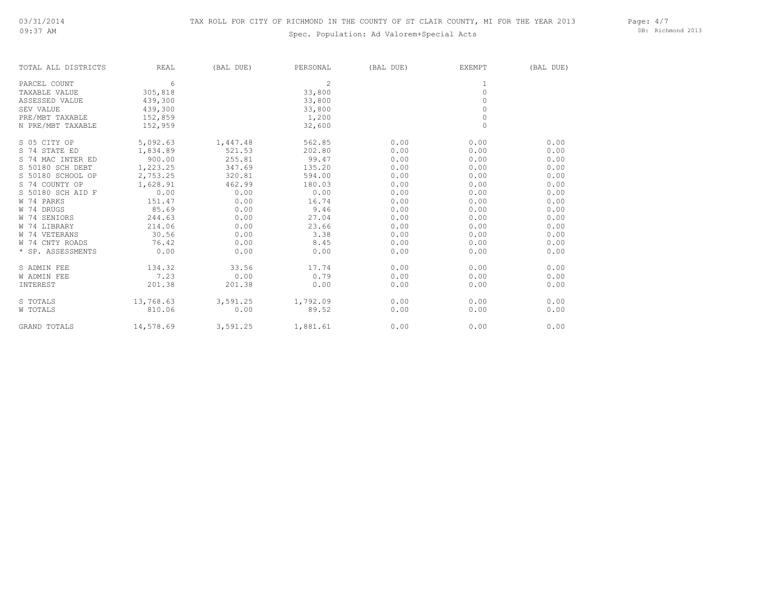# Spec. Population: Ad Valorem+Special Acts

Page: 4/7 DB: Richmond 2013

| REAL      | (BAL DUE)               | PERSONAL         | (BAL DUE)                            | EXEMPT       | (BAL DUE)    |
|-----------|-------------------------|------------------|--------------------------------------|--------------|--------------|
| 6         |                         | 2                |                                      | 1            |              |
| 305,818   |                         | 33,800           |                                      | $\circ$      |              |
| 439,300   |                         | 33,800           |                                      | $\circ$      |              |
| 439,300   |                         | 33,800           |                                      | 0            |              |
| 152,859   |                         | 1,200            |                                      | $\circ$      |              |
| 152,959   |                         | 32,600           |                                      | $\mathbf{0}$ |              |
| 5,092.63  | 1,447.48                | 562.85           | 0.00                                 | 0.00         | 0.00         |
| 1,834.89  | 521.53                  | 202.80           | 0.00                                 | 0.00         | 0.00         |
| 900.00    | 255.81                  | 99.47            | 0.00                                 | 0.00         | 0.00         |
| 1,223.25  | 347.69                  | 135.20           | 0.00                                 | 0.00         | 0.00         |
| 2,753.25  | 320.81                  | 594.00           | 0.00                                 | 0.00         | 0.00         |
| 1,628.91  | 462.99                  | 180.03           | 0.00                                 | 0.00         | 0.00         |
| 0.00      | 0.00                    | 0.00             | 0.00                                 | 0.00         | 0.00         |
| 151.47    | 0.00                    | 16.74            | 0.00                                 | 0.00         | 0.00         |
| 85.69     | 0.00                    | 9.46             | 0.00                                 | 0.00         | 0.00         |
|           | 0.00                    | 27.04            | 0.00                                 | 0.00         | 0.00         |
| 214.06    | 0.00                    | 23.66            | 0.00                                 | 0.00         | 0.00         |
| 30.56     | 0.00                    | 3.38             | 0.00                                 | 0.00         | 0.00         |
|           | 0.00                    |                  | 0.00                                 |              | 0.00         |
|           |                         |                  |                                      |              | 0.00         |
| 134.32    | 33.56                   | 17.74            | 0.00                                 | 0.00         | 0.00         |
| 7.23      | 0.00                    | 0.79             | 0.00                                 | 0.00         | 0.00         |
| 201.38    | 201.38                  | 0.00             | 0.00                                 | 0.00         | 0.00         |
| 13,768.63 | 3,591.25                |                  | 0.00                                 | 0.00         | 0.00         |
| 810.06    | 0.00                    | 89.52            | 0.00                                 | 0.00         | 0.00         |
| 14,578.69 |                         |                  | 0.00                                 | 0.00         | 0.00         |
|           | 244.63<br>76.42<br>0.00 | 0.00<br>3,591.25 | 8.45<br>0.00<br>1,792.09<br>1,881.61 | 0.00         | 0.00<br>0.00 |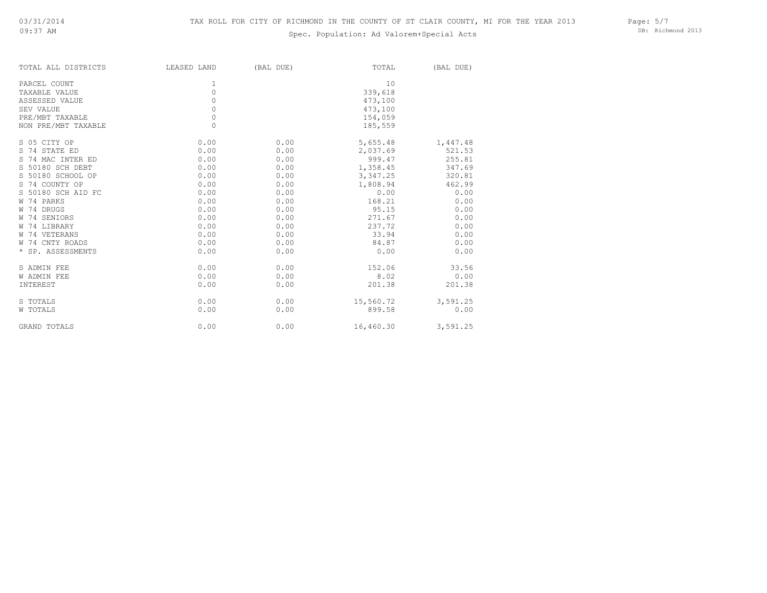# Spec. Population: Ad Valorem+Special Acts

Page: 5/7 DB: Richmond 2013

| TOTAL ALL DISTRICTS | LEASED LAND | (BAL DUE) | TOTAL     | (BAL DUE) |
|---------------------|-------------|-----------|-----------|-----------|
| PARCEL COUNT        | 1           |           | 10        |           |
| TAXABLE VALUE       | 0           |           | 339,618   |           |
| ASSESSED VALUE      | 0           |           | 473,100   |           |
| SEV VALUE           | $\circ$     |           | 473,100   |           |
| PRE/MBT TAXABLE     | $\circ$     |           | 154,059   |           |
| NON PRE/MBT TAXABLE | 0           |           | 185,559   |           |
| S 05 CITY OP        | 0.00        | 0.00      | 5,655.48  | 1,447.48  |
| S 74 STATE ED       | 0.00        | 0.00      | 2,037.69  | 521.53    |
| S 74 MAC INTER ED   | 0.00        | 0.00      | 999.47    | 255.81    |
| S 50180 SCH DEBT    | 0.00        | 0.00      | 1,358.45  | 347.69    |
| S 50180 SCHOOL OP   | 0.00        | 0.00      | 3,347.25  | 320.81    |
| S 74 COUNTY OP      | 0.00        | 0.00      | 1,808.94  | 462.99    |
| S 50180 SCH AID FC  | 0.00        | 0.00      | 0.00      | 0.00      |
| W 74 PARKS          | 0.00        | 0.00      | 168.21    | 0.00      |
| W 74 DRUGS          | 0.00        | 0.00      | 95.15     | 0.00      |
| W 74 SENIORS        | 0.00        | 0.00      | 271.67    | 0.00      |
| W 74 LIBRARY        | 0.00        | 0.00      | 237.72    | 0.00      |
| W 74 VETERANS       | 0.00        | 0.00      | 33.94     | 0.00      |
| W 74 CNTY ROADS     | 0.00        | 0.00      | 84.87     | 0.00      |
| * SP. ASSESSMENTS   | 0.00        | 0.00      | 0.00      | 0.00      |
| S ADMIN FEE         | 0.00        | 0.00      | 152.06    | 33.56     |
| W ADMIN FEE         | 0.00        | 0.00      | 8.02      | 0.00      |
| INTEREST            | 0.00        | 0.00      | 201.38    | 201.38    |
| S TOTALS            | 0.00        | 0.00      | 15,560.72 | 3,591.25  |
| W TOTALS            | 0.00        | 0.00      | 899.58    | 0.00      |
| GRAND TOTALS        | 0.00        | 0.00      | 16,460.30 | 3,591.25  |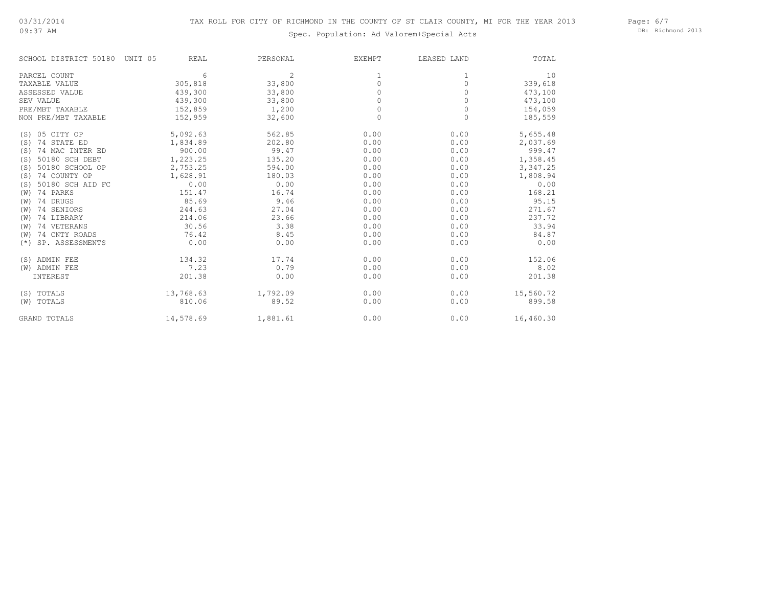#### 09:37 AM

# Spec. Population: Ad Valorem+Special Acts

Page: 6/7 DB: Richmond 2013

| SCHOOL DISTRICT 50180     | REAL<br>UNIT 05 | PERSONAL | <b>EXEMPT</b> | LEASED LAND | TOTAL     |
|---------------------------|-----------------|----------|---------------|-------------|-----------|
| PARCEL COUNT              |                 | 2<br>6   | 1             |             | 10        |
| TAXABLE VALUE             | 305,818         | 33,800   | $\circ$       | $\Omega$    | 339,618   |
| ASSESSED VALUE            | 439,300         | 33,800   | 0             | $\Omega$    | 473,100   |
| SEV VALUE                 | 439,300         | 33,800   | $\Omega$      | $\Omega$    | 473,100   |
| PRE/MBT TAXABLE           | 152,859         | 1,200    | 0             | 0           | 154,059   |
| NON PRE/MBT TAXABLE       | 152,959         | 32,600   | $\circ$       | 0           | 185,559   |
| (S) 05 CITY OP            | 5,092.63        | 562.85   | 0.00          | 0.00        | 5,655.48  |
| 74 STATE ED<br>(S)        | 1,834.89        | 202.80   | 0.00          | 0.00        | 2,037.69  |
| 74 MAC INTER ED<br>(S)    | 900.00          | 99.47    | 0.00          | 0.00        | 999.47    |
| 50180 SCH DEBT<br>(S)     | 1,223.25        | 135.20   | 0.00          | 0.00        | 1,358.45  |
| 50180 SCHOOL OP<br>(S)    | 2,753.25        | 594.00   | 0.00          | 0.00        | 3,347.25  |
| 74 COUNTY OP<br>(S)       | 1,628.91        | 180.03   | 0.00          | 0.00        | 1,808.94  |
| 50180 SCH AID FC<br>(S)   | 0.00            | 0.00     | 0.00          | 0.00        | 0.00      |
| 74 PARKS<br>(W)           | 151.47          | 16.74    | 0.00          | 0.00        | 168.21    |
| 74 DRUGS<br>(W)           | 85.69           | 9.46     | 0.00          | 0.00        | 95.15     |
| 74 SENIORS<br>(W)         | 244.63          | 27.04    | 0.00          | 0.00        | 271.67    |
| 74 LIBRARY<br>(W)         | 214.06          | 23.66    | 0.00          | 0.00        | 237.72    |
| 74 VETERANS<br>(W)        | 30.56           | 3.38     | 0.00          | 0.00        | 33.94     |
| 74 CNTY ROADS<br>(W)      | 76.42           | 8.45     | 0.00          | 0.00        | 84.87     |
| SP. ASSESSMENTS<br>$(* )$ | 0.00            | 0.00     | 0.00          | 0.00        | 0.00      |
| (S) ADMIN FEE             | 134.32          | 17.74    | 0.00          | 0.00        | 152.06    |
| (W) ADMIN FEE             | 7.23            | 0.79     | 0.00          | 0.00        | 8.02      |
| INTEREST                  | 201.38          | 0.00     | 0.00          | 0.00        | 201.38    |
| (S) TOTALS                | 13,768.63       | 1,792.09 | 0.00          | 0.00        | 15,560.72 |
| (W) TOTALS                | 810.06          | 89.52    | 0.00          | 0.00        | 899.58    |
| <b>GRAND TOTALS</b>       | 14,578.69       | 1,881.61 | 0.00          | 0.00        | 16,460.30 |